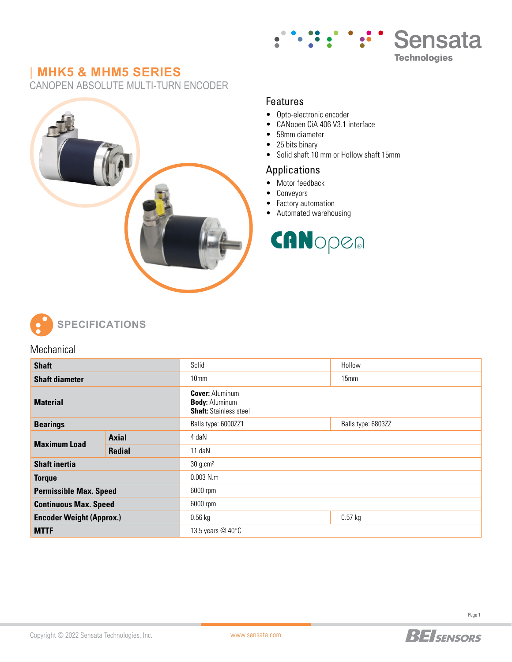

## **| MHK5 & MHM5 SERIES**

CANOPEN ABSOLUTE MULTI-TURN ENCODER



#### Features

- Opto-electronic encoder<br>• CANonen CiA 406 V3 1 i
- CANopen CiA 406 V3.1 interface
- 58mm diameter
- 25 bits binary
- Solid shaft 10 mm or Hollow shaft 15mm

#### Applications

- Motor feedback
- Conveyors
- Factory automation
- Automated warehousing

# CANopen



**SPECIFICATIONS**

#### **Mechanical**

| <b>Shaft</b>                    |               | Solid                                                                            | Hollow             |  |  |
|---------------------------------|---------------|----------------------------------------------------------------------------------|--------------------|--|--|
| <b>Shaft diameter</b>           |               | 10 <sub>mm</sub>                                                                 | 15 <sub>mm</sub>   |  |  |
| <b>Material</b>                 |               | <b>Cover: Aluminum</b><br><b>Body: Aluminum</b><br><b>Shaft: Stainless steel</b> |                    |  |  |
| <b>Bearings</b>                 |               | Balls type: 6000ZZ1                                                              | Balls type: 6803ZZ |  |  |
| <b>Maximum Load</b>             | <b>Axial</b>  | 4 daN                                                                            |                    |  |  |
|                                 | <b>Radial</b> | $11$ daN                                                                         |                    |  |  |
| <b>Shaft inertia</b>            |               | 30 g.cm <sup>2</sup>                                                             |                    |  |  |
| <b>Torque</b>                   |               | $0.003$ N.m.                                                                     |                    |  |  |
| <b>Permissible Max. Speed</b>   |               | 6000 rpm                                                                         |                    |  |  |
| <b>Continuous Max. Speed</b>    |               | 6000 rpm                                                                         |                    |  |  |
| <b>Encoder Weight (Approx.)</b> |               | $0.56$ kg                                                                        | $0.57$ kg          |  |  |
| <b>MTTF</b>                     |               | 13.5 years @ 40°C                                                                |                    |  |  |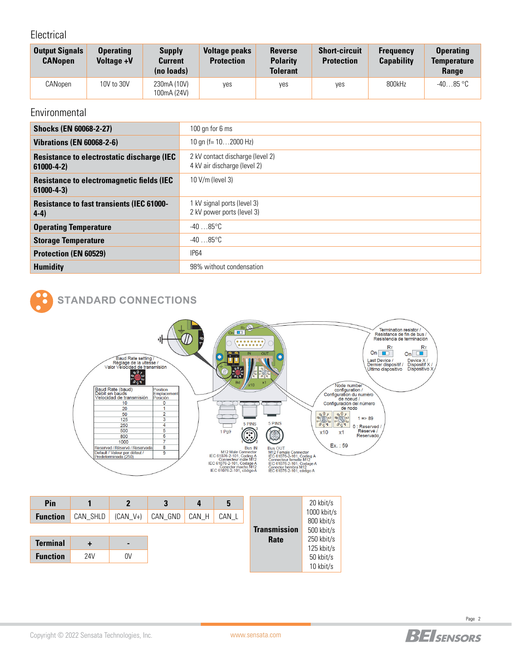#### Electrical

| <b>Output Signals</b><br><b>CANopen</b> | <b>Operating</b><br>Voltage +V | <b>Supply</b><br><b>Current</b><br>(no loads) | <b>Voltage peaks</b><br><b>Protection</b> | <b>Reverse</b><br><b>Polarity</b><br><b>Tolerant</b> | <b>Short-circuit</b><br><b>Protection</b> | <b>Frequency</b><br><b>Capability</b> | <b>Operating</b><br><b>Temperature</b><br><b>Range</b> |
|-----------------------------------------|--------------------------------|-----------------------------------------------|-------------------------------------------|------------------------------------------------------|-------------------------------------------|---------------------------------------|--------------------------------------------------------|
| CANopen                                 | 10V to 30V                     | 230mA (10V)<br>100mA (24V)                    | ves                                       | ves                                                  | yes                                       | 800kHz                                | $-4085$ °C                                             |

### **Environmental**

| <b>Shocks (EN 60068-2-27)</b>                                         | 100 gn for 6 ms                                                  |  |  |
|-----------------------------------------------------------------------|------------------------------------------------------------------|--|--|
| <b>Vibrations (EN 60068-2-6)</b>                                      | 10 gn (f= $102000$ Hz)                                           |  |  |
| <b>Resistance to electrostatic discharge (IEC)</b><br>$61000 - 4 - 2$ | 2 kV contact discharge (level 2)<br>4 kV air discharge (level 2) |  |  |
| <b>Resistance to electromagnetic fields (IEC)</b><br>$61000 - 4 - 3$  | $10$ V/m (level 3)                                               |  |  |
| <b>Resistance to fast transients (IEC 61000-</b><br>$4-4)$            | 1 kV signal ports (level 3)<br>2 kV power ports (level 3)        |  |  |
| <b>Operating Temperature</b>                                          | $-4085^{\circ}$ C                                                |  |  |
| <b>Storage Temperature</b>                                            | $-4085^{\circ}$ C                                                |  |  |
| <b>Protection (EN 60529)</b>                                          | <b>IP64</b>                                                      |  |  |
| <b>Humidity</b>                                                       | 98% without condensation                                         |  |  |

# **STANDARD CONNECTIONS**



| Pin             |          | $\mathbf{2}$   | 3       | 4     | 5     |                     | 20 kbit/s                   |
|-----------------|----------|----------------|---------|-------|-------|---------------------|-----------------------------|
| <b>Function</b> | CAN SHLD | $(CAN V+)$     | CAN GND | CAN_H | CAN_L |                     | $1000$ kbit/s<br>800 kbit/s |
|                 |          |                |         |       |       | <b>Transmission</b> | 500 kbit/s                  |
| <b>Terminal</b> | ٠        | $\blacksquare$ |         |       |       | Rate                | 250 kbit/s                  |
| <b>Function</b> | 24V      | 0V             |         |       |       |                     | 125 kbit/s<br>50 kbit/s     |
|                 |          |                |         |       |       |                     | 10 kbit/s                   |



[www.sensata.com](http://www.sensata.com)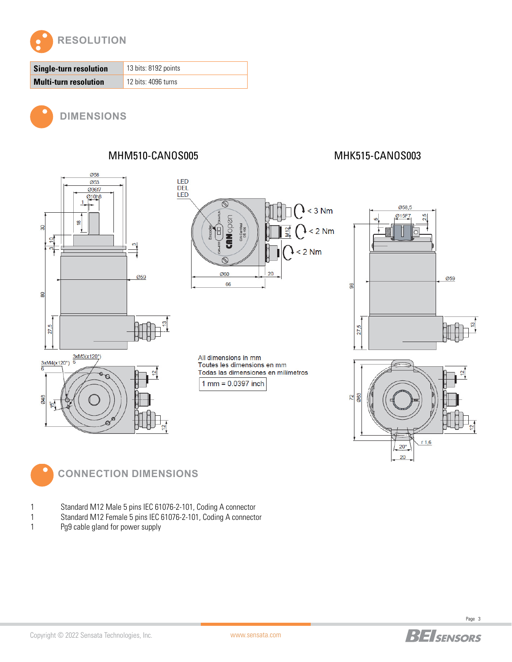

| Single-turn resolution       | 13 bits: 8192 points |  |  |
|------------------------------|----------------------|--|--|
| <b>Multi-turn resolution</b> | 12 bits: 4096 turns  |  |  |



**DIMENSIONS**

MHM510-CANOS005 MHK515-CANOS003



**CONNECTION DIMENSIONS**

- 1 Standard M12 Male 5 pins IEC 61076-2-101, Coding A connector
- 1 Standard M12 Female 5 pins IEC 61076-2-101, Coding A connector
- 1 Pg9 cable gland for power supply



20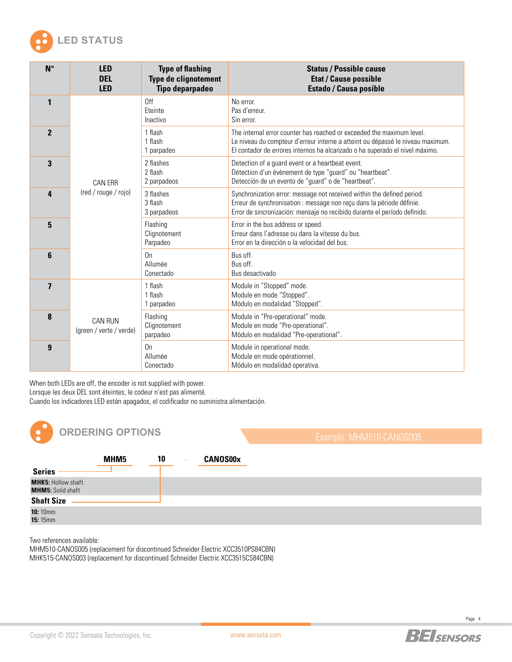

| $N^{\circ}$             | <b>LED</b><br><b>DEL</b><br><b>LED</b>    | <b>Type of flashing</b><br><b>Type de clignotement</b><br><b>Tipo deparpadeo</b> | <b>Status / Possible cause</b><br><b>Etat / Cause possible</b><br><b>Estado / Causa posible</b>                                                                                                                                        |
|-------------------------|-------------------------------------------|----------------------------------------------------------------------------------|----------------------------------------------------------------------------------------------------------------------------------------------------------------------------------------------------------------------------------------|
| 1                       |                                           | 0ff<br>Eteinte<br>Inactivo                                                       | No error.<br>Pas d'erreur.<br>Sin error.                                                                                                                                                                                               |
| $\overline{2}$          |                                           | 1 flash<br>1 flash<br>1 parpadeo                                                 | The internal error counter has reached or exceeded the maximum level.<br>Le niveau du compteur d'erreur interne a atteint ou dépassé le niveau maximum.<br>El contador de errores internos ha alcanzado o ha superado el nivel máximo. |
| 3                       | <b>CAN ERR</b>                            | 2 flashes<br>2 flash<br>2 parpadeos                                              | Detection of a guard event or a heartbeat event.<br>Détection d'un évènement de type "guard" ou "heartbeat".<br>Detección de un evento de "guard" o de "heartbeat".                                                                    |
| 4                       | (red / rouge / rojo)                      | 3 flashes<br>3 flash<br>3 parpadeos                                              | Synchronization error: message not received within the defined period.<br>Erreur de synchronisation : message non reçu dans la période définie.<br>Error de sincronización: mensaje no recibido durante el período definido.           |
| 5                       |                                           | Flashing<br>Clignotement<br>Parpadeo                                             | Error in the bus address or speed.<br>Erreur dans l'adresse ou dans la vitesse du bus.<br>Error en la dirección o la velocidad del bus.                                                                                                |
| 6                       |                                           | 0n<br>Allumée<br>Conectado                                                       | Bus off.<br>Bus off.<br>Bus desactivado                                                                                                                                                                                                |
| $\overline{\mathbf{z}}$ | <b>CAN RUN</b><br>(green / verte / verde) | 1 flash<br>1 flash<br>1 parpadeo                                                 | Module in "Stopped" mode.<br>Module en mode "Stopped".<br>Módulo en modalidad "Stopped".                                                                                                                                               |
| 8                       |                                           | Flashing<br>Clignotement<br>parpadeo                                             | Module in "Pre-operational" mode.<br>Module en mode "Pre-operational".<br>Módulo en modalidad "Pre-operational".                                                                                                                       |
| $\boldsymbol{9}$        |                                           | 0 <sub>n</sub><br>Allumée<br>Conectado                                           | Module in operational mode.<br>Module en mode opérationnel.<br>Módulo en modalidad operativa.                                                                                                                                          |

When both LEDs are off, the encoder is not supplied with power.

Lorsque les deux DEL sont éteintes, le codeur n'est pas alimenté.

Cuando los indicadores LED están apagados, el codificador no suministra alimentación.



[www.sensata.com](http://www.sensata.com)

Two references available:

MHM510-CANOS005 (replacement for discontinued Schneider Electric XCC3510PS84CBN) MHK515-CANOS003 (replacement for discontinued Schneider Electric XCC3515CS84CBN)

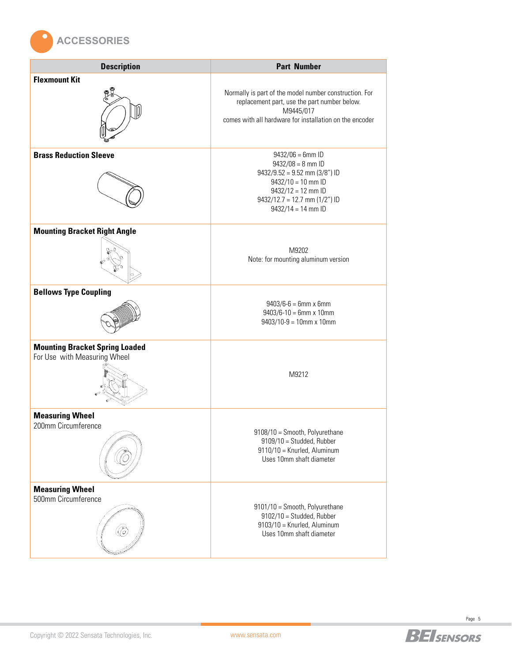

| <b>Description</b>                                                    | <b>Part Number</b>                                                                                                                                                                       |
|-----------------------------------------------------------------------|------------------------------------------------------------------------------------------------------------------------------------------------------------------------------------------|
| <b>Flexmount Kit</b>                                                  | Normally is part of the model number construction. For<br>replacement part, use the part number below.<br>M9445/017<br>comes with all hardware for installation on the encoder           |
| <b>Brass Reduction Sleeve</b>                                         | $9432/06 = 6$ mm ID<br>$9432/08 = 8$ mm ID<br>$9432/9.52 = 9.52$ mm (3/8") ID<br>$9432/10 = 10$ mm ID<br>$9432/12 = 12$ mm ID<br>$9432/12.7 = 12.7$ mm (1/2") ID<br>$9432/14 = 14$ mm ID |
| <b>Mounting Bracket Right Angle</b>                                   | M9202<br>Note: for mounting aluminum version                                                                                                                                             |
| <b>Bellows Type Coupling</b>                                          | $9403/6 - 6 = 6$ mm x 6mm<br>$9403/6 - 10 = 6$ mm x 10mm<br>$9403/10-9 = 10$ mm x 10mm                                                                                                   |
| <b>Mounting Bracket Spring Loaded</b><br>For Use with Measuring Wheel | M9212                                                                                                                                                                                    |
| <b>Measuring Wheel</b><br>200mm Circumference                         | 9108/10 = Smooth, Polyurethane<br>$9109/10 =$ Studded, Rubber<br>9110/10 = Knurled, Aluminum<br>Uses 10mm shaft diameter                                                                 |
| <b>Measuring Wheel</b><br>500mm Circumference                         | 9101/10 = Smooth, Polyurethane<br>$9102/10 =$ Studded, Rubber<br>9103/10 = Knurled, Aluminum<br>Uses 10mm shaft diameter                                                                 |